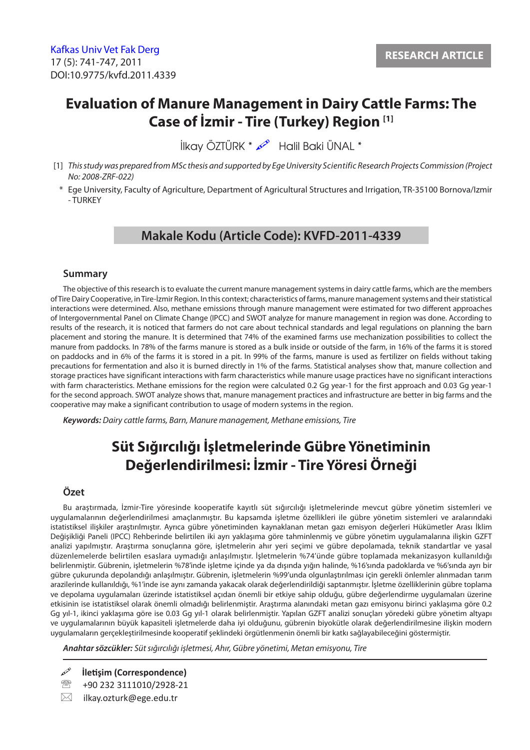# **Evaluation of Manure Management in Dairy Cattle Farms: The Case of İzmir - Tire (Turkey) Region [1]**

İlkay ÖZTÜRK \* Halil Baki ÜNAL \*

- [1] *This study was prepared from MSc thesis and supported by Ege University Scientific Research Projects Commission (Project No: 2008-ZRF-022)*
- \* Ege University, Faculty of Agriculture, Department of Agricultural Structures and Irrigation, TR-35100 Bornova/Izmir - TURKEY

### **Makale Kodu (Article Code): KVFD-2011-4339**

#### **Summary**

The objective of this research is to evaluate the current manure management systems in dairy cattle farms, which are the members of Tire Dairy Cooperative, in Tire-İzmir Region. In this context; characteristics of farms, manure management systems and their statistical interactions were determined. Also, methane emissions through manure management were estimated for two different approaches of Intergovernmental Panel on Climate Change (IPCC) and SWOT analyze for manure management in region was done. According to results of the research, it is noticed that farmers do not care about technical standards and legal regulations on planning the barn placement and storing the manure. It is determined that 74% of the examined farms use mechanization possibilities to collect the manure from paddocks. In 78% of the farms manure is stored as a bulk inside or outside of the farm, in 16% of the farms it is stored on paddocks and in 6% of the farms it is stored in a pit. In 99% of the farms, manure is used as fertilizer on fields without taking precautions for fermentation and also it is burned directly in 1% of the farms. Statistical analyses show that, manure collection and storage practices have significant interactions with farm characteristics while manure usage practices have no significant interactions with farm characteristics. Methane emissions for the region were calculated 0.2 Gg year-1 for the first approach and 0.03 Gg year-1 for the second approach. SWOT analyze shows that, manure management practices and infrastructure are better in big farms and the cooperative may make a significant contribution to usage of modern systems in the region.

*Keywords: Dairy cattle farms, Barn, Manure management, Methane emissions, Tire*

# **Süt Sığırcılığı İşletmelerinde Gübre Yönetiminin Değerlendirilmesi: İzmir - Tire Yöresi Örneği**

### **Özet**

Bu araştırmada, İzmir-Tire yöresinde kooperatife kayıtlı süt sığırcılığı işletmelerinde mevcut gübre yönetim sistemleri ve uygulamalarının değerlendirilmesi amaçlanmıştır. Bu kapsamda işletme özellikleri ile gübre yönetim sistemleri ve aralarındaki istatistiksel ilişkiler araştırılmıştır. Ayrıca gübre yönetiminden kaynaklanan metan gazı emisyon değerleri Hükümetler Arası İklim Değişikliği Paneli (IPCC) Rehberinde belirtilen iki ayrı yaklaşıma göre tahminlenmiş ve gübre yönetim uygulamalarına ilişkin GZFT analizi yapılmıştır. Araştırma sonuçlarına göre, işletmelerin ahır yeri seçimi ve gübre depolamada, teknik standartlar ve yasal düzenlemelerde belirtilen esaslara uymadığı anlaşılmıştır. İşletmelerin %74'ünde gübre toplamada mekanizasyon kullanıldığı belirlenmiştir. Gübrenin, işletmelerin %78'inde işletme içinde ya da dışında yığın halinde, %16'sında padoklarda ve %6'sında ayrı bir gübre çukurunda depolandığı anlaşılmıştır. Gübrenin, işletmelerin %99'unda olgunlaştırılması için gerekli önlemler alınmadan tarım arazilerinde kullanıldığı, %1'inde ise aynı zamanda yakacak olarak değerlendirildiği saptanmıştır. İşletme özelliklerinin gübre toplama ve depolama uygulamaları üzerinde istatistiksel açıdan önemli bir etkiye sahip olduğu, gübre değerlendirme uygulamaları üzerine etkisinin ise istatistiksel olarak önemli olmadığı belirlenmiştir. Araştırma alanındaki metan gazı emisyonu birinci yaklaşıma göre 0.2 Gg yıl-1, ikinci yaklaşıma göre ise 0.03 Gg yıl-1 olarak belirlenmiştir. Yapılan GZFT analizi sonuçları yöredeki gübre yönetim altyapı ve uygulamalarının büyük kapasiteli işletmelerde daha iyi olduğunu, gübrenin biyokütle olarak değerlendirilmesine ilişkin modern uygulamaların gerçekleştirilmesinde kooperatif şeklindeki örgütlenmenin önemli bir katkı sağlayabileceğini göstermiştir.

*Anahtar sözcükler: Süt sığırcılığı işletmesi, Ahır, Gübre yönetimi, Metan emisyonu, Tire*

**İletişim (Correspondence)**

- +90 232 3111010/2928-21
- $\boxtimes$  ilkay.ozturk@ege.edu.tr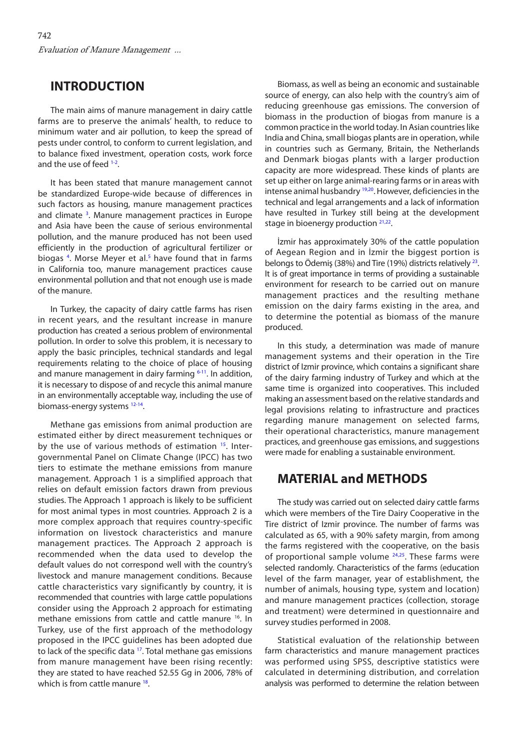### **INTRODUCTION**

The main aims of manure management in dairy cattle farms are to preserve the animals' health, to reduce to minimum water and air pollution, to keep the spread of pests under control, to conform to current legislation, and to balance fixed investment, operation costs, work force and the use of feed <sup>1-2</sup>.

It has been stated that manure management cannot be standardized Europe-wide because of differences in such factors as housing, manure management practices and climate<sup>3</sup>. Manure management practices in Europe and Asia have been the cause of serious environmental pollution, and the manure produced has not been used efficiently in the production of agricultural fertilizer or biogas <sup>4</sup>. Morse Meyer et al.<sup>5</sup> have found that in farms in California too, manure management practices cause environmental pollution and that not enough use is made of the manure.

In Turkey, the capacity of dairy cattle farms has risen in recent years, and the resultant increase in manure production has created a serious problem of environmental pollution. In order to solve this problem, it is necessary to apply the basic principles, technical standards and legal requirements relating to the choice of place of housing and manure management in dairy farming  $6-11$ . In addition, it is necessary to dispose of and recycle this animal manure in an environmentally acceptable way, including the use of biomass-energy systems<sup>12-14</sup>.

Methane gas emissions from animal production are estimated either by direct measurement techniques or by the use of various methods of estimation <sup>15</sup>. Intergovernmental Panel on Climate Change (IPCC) has two tiers to estimate the methane emissions from manure management. Approach 1 is a simplified approach that relies on default emission factors drawn from previous studies. The Approach 1 approach is likely to be sufficient for most animal types in most countries. Approach 2 is a more complex approach that requires country-specific information on livestock characteristics and manure management practices. The Approach 2 approach is recommended when the data used to develop the default values do not correspond well with the country's livestock and manure management conditions. Because cattle characteristics vary significantly by country, it is recommended that countries with large cattle populations consider using the Approach 2 approach for estimating methane emissions from cattle and cattle manure [16](#page-6-0). In Turkey, use of the first approach of the methodology proposed in the IPCC guidelines has been adopted due to lack of the specific data <sup>17</sup>. Total methane gas emissions from manure management have been rising recently: they are stated to have reached 52.55 Gg in 2006, 78% of which is from cattle manure <sup>18</sup>.

Biomass, as well as being an economic and sustainable source of energy, can also help with the country's aim of reducing greenhouse gas emissions. The conversion of biomass in the production of biogas from manure is a common practice in the world today. In Asian countries like India and China, small biogas plants are in operation, while in countries such as Germany, Britain, the Netherlands and Denmark biogas plants with a larger production capacity are more widespread. These kinds of plants are set up either on large animal-rearing farms or in areas with intense animal husbandry [19,20.](#page-6-0) However, deficiencies in the technical and legal arrangements and a lack of information have resulted in Turkey still being at the development stage in bioenergy production  $21,22$ .

İzmir has approximately 30% of the cattle population of Aegean Region and in İzmir the biggest portion is belongs to Ödemiş (38%) and Tire (19%) districts relatively<sup>23</sup>. It is of great importance in terms of providing a sustainable environment for research to be carried out on manure management practices and the resulting methane emission on the dairy farms existing in the area, and to determine the potential as biomass of the manure produced.

In this study, a determination was made of manure management systems and their operation in the Tire district of Izmir province, which contains a significant share of the dairy farming industry of Turkey and which at the same time is organized into cooperatives. This included making an assessment based on the relative standards and legal provisions relating to infrastructure and practices regarding manure management on selected farms, their operational characteristics, manure management practices, and greenhouse gas emissions, and suggestions were made for enabling a sustainable environment.

### **MATERIAL and METHODS**

The study was carried out on selected dairy cattle farms which were members of the Tire Dairy Cooperative in the Tire district of Izmir province. The number of farms was calculated as 65, with a 90% safety margin, from among the farms registered with the cooperative, on the basis of proportional sample volume <sup>24,25</sup>. These farms were selected randomly. Characteristics of the farms (education level of the farm manager, year of establishment, the number of animals, housing type, system and location) and manure management practices (collection, storage and treatment) were determined in questionnaire and survey studies performed in 2008.

Statistical evaluation of the relationship between farm characteristics and manure management practices was performed using SPSS, descriptive statistics were calculated in determining distribution, and correlation analysis was performed to determine the relation between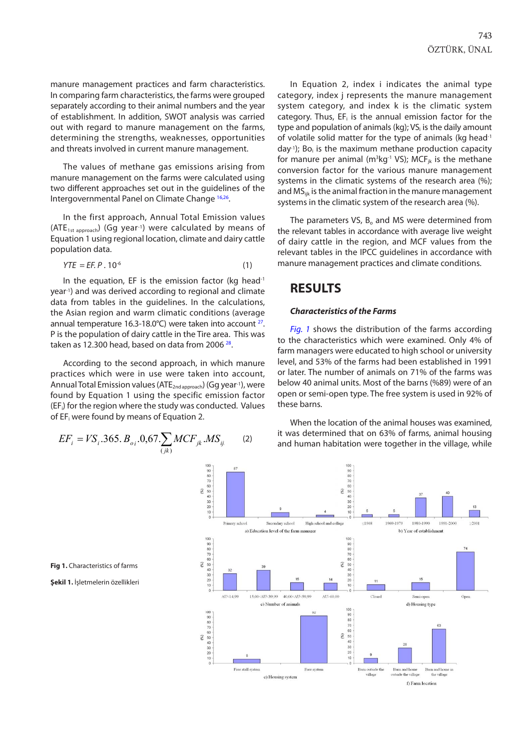manure management practices and farm characteristics. In comparing farm characteristics, the farms were grouped separately according to their animal numbers and the year of establishment. In addition, SWOT analysis was carried out with regard to manure management on the farms, determining the strengths, weaknesses, opportunities and threats involved in current manure management.

The values of methane gas emissions arising from manure management on the farms were calculated using two different approaches set out in the guidelines of the Intergovernmental Panel on Climate Change [16,26.](#page-6-0)

In the first approach, Annual Total Emission values (ATE<sub>1st approach</sub>) (Gg year<sup>-1</sup>) were calculated by means of Equation 1 using regional location, climate and dairy cattle population data.

$$
YTE = EF. P. 10^{-6}
$$
 (1)

In the equation, EF is the emission factor (kg head<sup>-1</sup> year-1) and was derived according to regional and climate data from tables in the guidelines. In the calculations, the Asian region and warm climatic conditions (average annual temperature 16.3-18.0 $^{\circ}$ C) were taken into account  $^{27}$ . P is the population of dairy cattle in the Tire area. This was taken as 12.300 head, based on data from 2006<sup>28</sup>.

According to the second approach, in which manure practices which were in use were taken into account, Annual Total Emission values (ATE<sub>2nd approach</sub>) (Gg year-1), were found by Equation 1 using the specific emission factor (EFi) for the region where the study was conducted. Values of EFi were found by means of Equation 2.

$$
EF_i = VS_i.365. B_{oi}.0.67. \sum_{(jk)} MCF_{jk}. MS_{ij}
$$
 (2)

In Equation 2, index i indicates the animal type category, index j represents the manure management system category, and index k is the climatic system category. Thus,  $EF_i$  is the annual emission factor for the type and population of animals (kg); VS<sub>i</sub> is the daily amount of volatile solid matter for the type of animals (kg head<sup>-1</sup> day<sup>-1</sup>); Bo<sub>i</sub> is the maximum methane production capacity for manure per animal ( $m^3kg^1$  VS); MCF<sub>jk</sub> is the methane conversion factor for the various manure management systems in the climatic systems of the research area (%); and MS<sub>iik</sub> is the animal fraction in the manure management systems in the climatic system of the research area (%).

The parameters VS,  $B_0$  and MS were determined from the relevant tables in accordance with average live weight of dairy cattle in the region, and MCF values from the relevant tables in the IPCC guidelines in accordance with manure management practices and climate conditions.

### **RESULTS**

#### *Characteristics of the Farms*

*Fig. 1* shows the distribution of the farms according to the characteristics which were examined. Only 4% of farm managers were educated to high school or university level, and 53% of the farms had been established in 1991 or later. The number of animals on 71% of the farms was below 40 animal units. Most of the barns (%89) were of an open or semi-open type. The free system is used in 92% of these barns.

When the location of the animal houses was examined, it was determined that on 63% of farms, animal housing and human habitation were together in the village, while



**Fig 1.** Characteristics of farms

**Şekil 1.** İşletmelerin özellikleri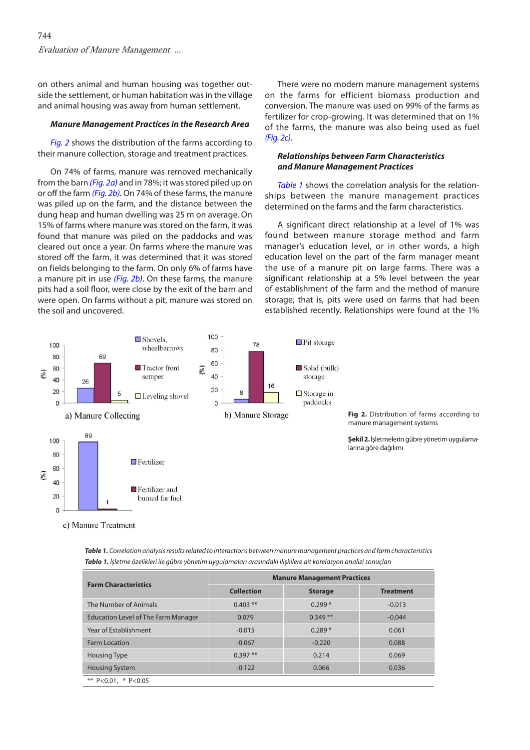<span id="page-3-0"></span>on others animal and human housing was together outside the settlement, or human habitation was in the village and animal housing was away from human settlement.

#### *Manure Management Practices in the Research Area*

*Fig. 2* shows the distribution of the farms according to their manure collection, storage and treatment practices.

On 74% of farms, manure was removed mechanically from the barn *(Fig. 2a)* and in 78%; it was stored piled up on or off the farm *(Fig. 2b).* On 74% of these farms, the manure was piled up on the farm, and the distance between the dung heap and human dwelling was 25 m on average. On 15% of farms where manure was stored on the farm, it was found that manure was piled on the paddocks and was cleared out once a year. On farms where the manure was stored off the farm, it was determined that it was stored on fields belonging to the farm. On only 6% of farms have a manure pit in use *(Fig. 2b)*. On these farms, the manure pits had a soil floor, were close by the exit of the barn and were open. On farms without a pit, manure was stored on the soil and uncovered.

There were no modern manure management systems on the farms for efficient biomass production and conversion. The manure was used on 99% of the farms as fertilizer for crop-growing. It was determined that on 1% of the farms, the manure was also being used as fuel *(Fig. 2c)*.

#### *Relationships between Farm Characteristics and Manure Management Practices*

*Table 1* shows the correlation analysis for the relationships between the manure management practices determined on the farms and the farm characteristics.

A significant direct relationship at a level of 1% was found between manure storage method and farm manager's education level, or in other words, a high education level on the part of the farm manager meant the use of a manure pit on large farms. There was a significant relationship at a 5% level between the year of establishment of the farm and the method of manure storage; that is, pits were used on farms that had been established recently. Relationships were found at the 1%



c) Manure Treatment

| Table 1. Correlation analysis results related to interactions between manure management practices and farm characteristics |
|----------------------------------------------------------------------------------------------------------------------------|
| Tablo 1. İşletme özelikleri ile gübre yönetim uygulamaları arasındaki ilişkilere ait korelasyon analizi sonuçları          |

|                                            | <b>Manure Management Practices</b> |                |                  |  |
|--------------------------------------------|------------------------------------|----------------|------------------|--|
| <b>Farm Characteristics</b>                | <b>Collection</b>                  | <b>Storage</b> | <b>Treatment</b> |  |
| The Number of Animals                      | $0.403$ **                         | $0.299*$       | $-0.013$         |  |
| <b>Education Level of The Farm Manager</b> | 0.079                              | $0.349**$      | $-0.044$         |  |
| Year of Establishment                      | $-0.015$                           | $0.289*$       | 0.061            |  |
| <b>Farm Location</b>                       | $-0.067$                           | $-0.220$       | 0.088            |  |
| <b>Housing Type</b>                        | $0.397**$                          | 0.214          | 0.069            |  |
| <b>Housing System</b>                      | $-0.122$                           | 0.066          | 0.036            |  |
| ** $P < 0.01$ , * $P < 0.05$               |                                    |                |                  |  |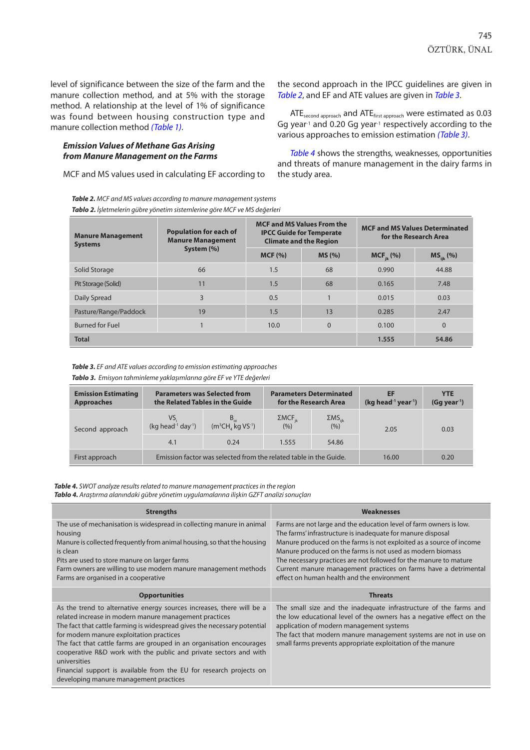level of significance between the size of the farm and the manure collection method, and at 5% with the storage method. A relationship at the level of 1% of significance was found between housing construction type and manure collection method *[\(Table 1\)](#page-3-0)*.

#### *Emission Values of Methane Gas Arising from Manure Management on the Farms*

MCF and MS values used in calculating EF according to

*Table 2. MCF and MS values according to manure management systems*

the second approach in the IPCC guidelines are given in *Table 2*, and EF and ATE values are given in *Table 3*.

ATEsecond approach and ATEfirst approach were estimated as 0.03 Gg year<sup>-1</sup> and 0.20 Gg year<sup>-1</sup> respectively according to the various approaches to emission estimation *(Table 3)*.

*Table 4* shows the strengths, weaknesses, opportunities and threats of manure management in the dairy farms in the study area.

| Tablo 2. İşletmelerin gübre yönetim sistemlerine göre MCF ve MS değerleri |                                                                         |        |                                                                                                       |                                                                |                |
|---------------------------------------------------------------------------|-------------------------------------------------------------------------|--------|-------------------------------------------------------------------------------------------------------|----------------------------------------------------------------|----------------|
| <b>Manure Management</b><br><b>Systems</b>                                | <b>Population for each of</b><br><b>Manure Management</b><br>System (%) |        | <b>MCF and MS Values From the</b><br><b>IPCC Guide for Temperate</b><br><b>Climate and the Region</b> | <b>MCF and MS Values Determinated</b><br>for the Research Area |                |
|                                                                           |                                                                         | MCF(%) | MS(%)                                                                                                 | $MCF_{ik}$ (%)                                                 | $MS_{iik}$ (%) |
| Solid Storage                                                             | 66                                                                      | 1.5    | 68                                                                                                    | 0.990                                                          | 44.88          |
| Pit Storage (Solid)                                                       | 11                                                                      | 1.5    | 68                                                                                                    | 0.165                                                          | 7.48           |
| Daily Spread                                                              | 3                                                                       | 0.5    |                                                                                                       | 0.015                                                          | 0.03           |
| Pasture/Range/Paddock                                                     | 19                                                                      | 1.5    | 13                                                                                                    | 0.285                                                          | 2.47           |
| <b>Burned for Fuel</b>                                                    |                                                                         | 10.0   | $\mathbf 0$                                                                                           | 0.100                                                          | $\Omega$       |
| <b>Total</b>                                                              |                                                                         |        |                                                                                                       | 1.555                                                          | 54.86          |

*Table 3. EF and ATE values according to emission estimating approaches*

*Tablo 3. Emisyon tahminleme yaklaşımlarına göre EF ve YTE değerleri*

| <b>Emission Estimating</b><br><b>Approaches</b> | <b>Parameters was Selected from</b><br>the Related Tables in the Guide |                                                | <b>Parameters Determinated</b><br>for the Research Area |                               | EF<br>$(kg head-1 year-1)$ | <b>YTE</b><br>(Gg year <sup>1</sup> ) |
|-------------------------------------------------|------------------------------------------------------------------------|------------------------------------------------|---------------------------------------------------------|-------------------------------|----------------------------|---------------------------------------|
| Second approach                                 | VS.<br>$(kq head-1 day-1)$                                             | $B_{\rm o}$<br>$(m^3CH,$ kg VS <sup>-1</sup> ) | $\Sigma MCF_{jk}$ (%)                                   | $\frac{\Sigma MS_{ijk}}{(%)}$ | 2.05                       | 0.03                                  |
|                                                 | 4.1                                                                    | 0.24                                           | 1.555                                                   | 54.86                         |                            |                                       |
| First approach                                  | Emission factor was selected from the related table in the Guide.      |                                                |                                                         |                               | 16.00                      | 0.20                                  |

*Table 4. SWOT analyze results related to manure management practices in the region*

*Tablo 4. Araştırma alanındaki gübre yönetim uygulamalarına ilişkin GZFT analizi sonuçları*

| <b>Strengths</b>                                                                                                                                                                                                                                                                                                                                                                                                                                                                                                                      | <b>Weaknesses</b>                                                                                                                                                                                                                                                                                                                                                                                                                                            |
|---------------------------------------------------------------------------------------------------------------------------------------------------------------------------------------------------------------------------------------------------------------------------------------------------------------------------------------------------------------------------------------------------------------------------------------------------------------------------------------------------------------------------------------|--------------------------------------------------------------------------------------------------------------------------------------------------------------------------------------------------------------------------------------------------------------------------------------------------------------------------------------------------------------------------------------------------------------------------------------------------------------|
| The use of mechanisation is widespread in collecting manure in animal<br>housing<br>Manure is collected frequently from animal housing, so that the housing<br>is clean<br>Pits are used to store manure on larger farms<br>Farm owners are willing to use modern manure management methods<br>Farms are organised in a cooperative                                                                                                                                                                                                   | Farms are not large and the education level of farm owners is low.<br>The farms' infrastructure is inadequate for manure disposal<br>Manure produced on the farms is not exploited as a source of income<br>Manure produced on the farms is not used as modern biomass<br>The necessary practices are not followed for the manure to mature<br>Current manure management practices on farms have a detrimental<br>effect on human health and the environment |
| <b>Opportunities</b>                                                                                                                                                                                                                                                                                                                                                                                                                                                                                                                  | <b>Threats</b>                                                                                                                                                                                                                                                                                                                                                                                                                                               |
| As the trend to alternative energy sources increases, there will be a<br>related increase in modern manure management practices<br>The fact that cattle farming is widespread gives the necessary potential<br>for modern manure exploitation practices<br>The fact that cattle farms are grouped in an organisation encourages<br>cooperative R&D work with the public and private sectors and with<br>universities<br>Financial support is available from the EU for research projects on<br>developing manure management practices | The small size and the inadequate infrastructure of the farms and<br>the low educational level of the owners has a negative effect on the<br>application of modern management systems<br>The fact that modern manure management systems are not in use on<br>small farms prevents appropriate exploitation of the manure                                                                                                                                     |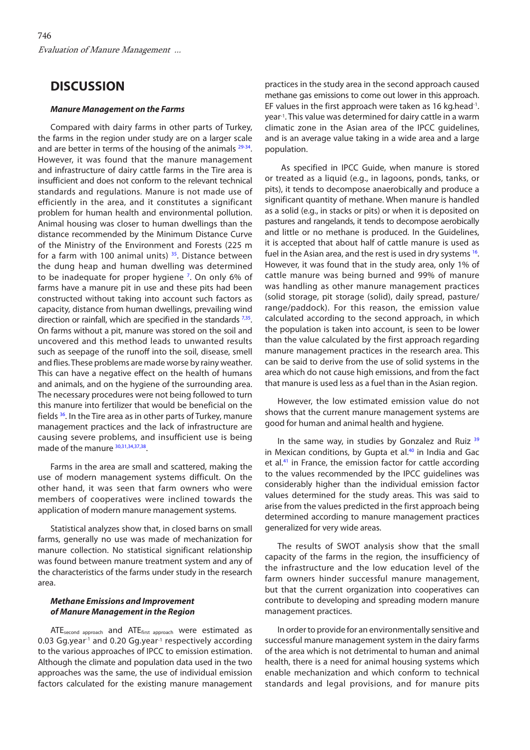## **DISCUSSION**

#### *Manure Management on the Farms*

Compared with dairy farms in other parts of Turkey, the farms in the region under study are on a larger scale and are better in terms of the housing of the animals  $29-34$ . However, it was found that the manure management and infrastructure of dairy cattle farms in the Tire area is insufficient and does not conform to the relevant technical standards and regulations. Manure is not made use of efficiently in the area, and it constitutes a significant problem for human health and environmental pollution. Animal housing was closer to human dwellings than the distance recommended by the Minimum Distance Curve of the Ministry of the Environment and Forests (225 m for a farm with 100 animal units)  $35$ . Distance between the dung heap and human dwelling was determined to be inadequate for proper hygiene<sup>7</sup>. On only 6% of farms have a manure pit in use and these pits had been constructed without taking into account such factors as capacity, distance from human dwellings, prevailing wind direction or rainfall, which are specified in the standards  $7,35$ . On farms without a pit, manure was stored on the soil and uncovered and this method leads to unwanted results such as seepage of the runoff into the soil, disease, smell and flies. These problems are made worse by rainy weather. This can have a negative effect on the health of humans and animals, and on the hygiene of the surrounding area. The necessary procedures were not being followed to turn this manure into fertilizer that would be beneficial on the fields [36.](#page-6-0) In the Tire area as in other parts of Turkey, manure management practices and the lack of infrastructure are causing severe problems, and insufficient use is being made of the manure <sup>30,31,34,37,38</sup>.

Farms in the area are small and scattered, making the use of modern management systems difficult. On the other hand, it was seen that farm owners who were members of cooperatives were inclined towards the application of modern manure management systems.

Statistical analyzes show that, in closed barns on small farms, generally no use was made of mechanization for manure collection. No statistical significant relationship was found between manure treatment system and any of the characteristics of the farms under study in the research area.

#### *Methane Emissions and Improvement of Manure Management in the Region*

ATEsecond approach and ATEfirst approach were estimated as 0.03 Gg.year<sup>-1</sup> and 0.20 Gg.year<sup>-1</sup> respectively according to the various approaches of IPCC to emission estimation. Although the climate and population data used in the two approaches was the same, the use of individual emission factors calculated for the existing manure management

practices in the study area in the second approach caused methane gas emissions to come out lower in this approach. EF values in the first approach were taken as 16 kg.head<sup>-1</sup>. year-1. This value was determined for dairy cattle in a warm climatic zone in the Asian area of the IPCC guidelines, and is an average value taking in a wide area and a large population.

 As specified in IPCC Guide, when manure is stored or treated as a liquid (e.g., in lagoons, ponds, tanks, or pits), it tends to decompose anaerobically and produce a significant quantity of methane. When manure is handled as a solid (e.g., in stacks or pits) or when it is deposited on pastures and rangelands, it tends to decompose aerobically and little or no methane is produced. In the Guidelines, it is accepted that about half of cattle manure is used as fuel in the Asian area, and the rest is used in dry systems <sup>16</sup>. However, it was found that in the study area, only 1% of cattle manure was being burned and 99% of manure was handling as other manure management practices (solid storage, pit storage (solid), daily spread, pasture/ range/paddock). For this reason, the emission value calculated according to the second approach, in which the population is taken into account, is seen to be lower than the value calculated by the first approach regarding manure management practices in the research area. This can be said to derive from the use of solid systems in the area which do not cause high emissions, and from the fact that manure is used less as a fuel than in the Asian region.

However, the low estimated emission value do not shows that the current manure management systems are good for human and animal health and hygiene.

In the same way, in studies by Gonzalez and Ruiz <sup>[39](#page-6-0)</sup> in Mexican conditions, by Gupta et  $al<sup>40</sup>$  in India and Gac et al.<sup>41</sup> in France, the emission factor for cattle according to the values recommended by the IPCC guidelines was considerably higher than the individual emission factor values determined for the study areas. This was said to arise from the values predicted in the first approach being determined according to manure management practices generalized for very wide areas.

The results of SWOT analysis show that the small capacity of the farms in the region, the insufficiency of the infrastructure and the low education level of the farm owners hinder successful manure management, but that the current organization into cooperatives can contribute to developing and spreading modern manure management practices.

In order to provide for an environmentally sensitive and successful manure management system in the dairy farms of the area which is not detrimental to human and animal health, there is a need for animal housing systems which enable mechanization and which conform to technical standards and legal provisions, and for manure pits